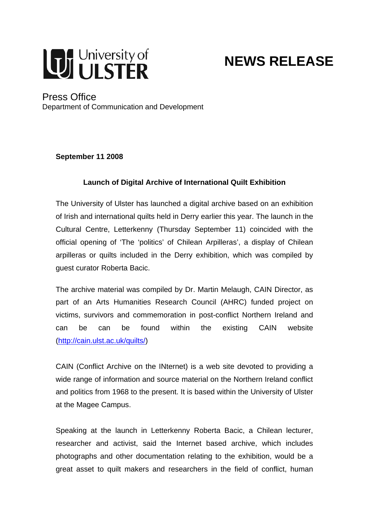

# **NEWS RELEASE**

### Press Office

Department of Communication and Development

**September 11 2008** 

#### **Launch of Digital Archive of International Quilt Exhibition**

The University of Ulster has launched a digital archive based on an exhibition of Irish and international quilts held in Derry earlier this year. The launch in the Cultural Centre, Letterkenny (Thursday September 11) coincided with the official opening of 'The 'politics' of Chilean Arpilleras', a display of Chilean arpilleras or quilts included in the Derry exhibition, which was compiled by guest curator Roberta Bacic.

The archive material was compiled by Dr. Martin Melaugh, CAIN Director, as part of an Arts Humanities Research Council (AHRC) funded project on victims, survivors and commemoration in post-conflict Northern Ireland and can be can be found within the existing CAIN website ([http://cain.ulst.ac.uk/quilts/\)](http://cain.ulst.ac.uk/quilts/)

CAIN (Conflict Archive on the INternet) is a web site devoted to providing a wide range of information and source material on the Northern Ireland conflict and politics from 1968 to the present. It is based within the University of Ulster at the Magee Campus.

Speaking at the launch in Letterkenny Roberta Bacic, a Chilean lecturer, researcher and activist, said the Internet based archive, which includes photographs and other documentation relating to the exhibition, would be a great asset to quilt makers and researchers in the field of conflict, human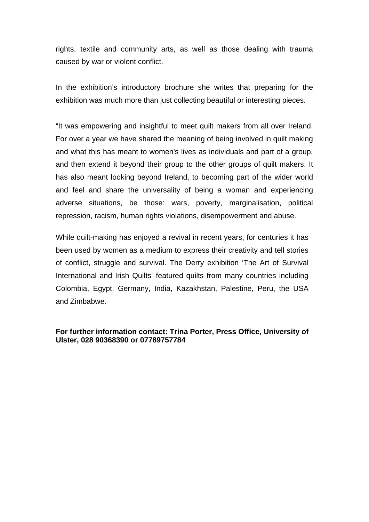rights, textile and community arts, as well as those dealing with trauma caused by war or violent conflict.

In the exhibition's introductory brochure she writes that preparing for the exhibition was much more than just collecting beautiful or interesting pieces.

"It was empowering and insightful to meet quilt makers from all over Ireland. For over a year we have shared the meaning of being involved in quilt making and what this has meant to women's lives as individuals and part of a group, and then extend it beyond their group to the other groups of quilt makers. It has also meant looking beyond Ireland, to becoming part of the wider world and feel and share the universality of being a woman and experiencing adverse situations, be those: wars, poverty, marginalisation, political repression, racism, human rights violations, disempowerment and abuse.

While quilt-making has enjoyed a revival in recent years, for centuries it has been used by women as a medium to express their creativity and tell stories of conflict, struggle and survival. The Derry exhibition 'The Art of Survival International and Irish Quilts' featured quilts from many countries including Colombia, Egypt, Germany, India, Kazakhstan, Palestine, Peru, the USA and Zimbabwe.

#### **For further information contact: Trina Porter, Press Office, University of Ulster, 028 90368390 or 07789757784**